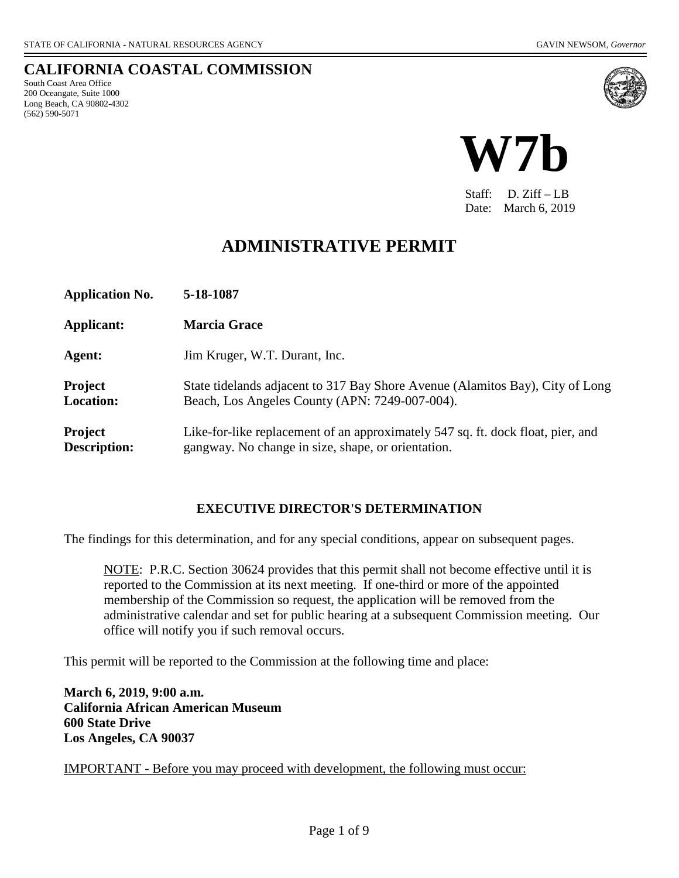#### **CALIFORNIA COASTAL COMMISSION** South Coast Area Office 200 Oceangate, Suite 1000 Long Beach, CA 90802-4302 (562) 590-5071





Staff: D. Ziff – LB Date: March 6, 2019

# **ADMINISTRATIVE PERMIT**

| <b>Application No.</b>             | 5-18-1087                                                                                                                             |
|------------------------------------|---------------------------------------------------------------------------------------------------------------------------------------|
| Applicant:                         | <b>Marcia Grace</b>                                                                                                                   |
| Agent:                             | Jim Kruger, W.T. Durant, Inc.                                                                                                         |
| <b>Project</b><br><b>Location:</b> | State tidelands adjacent to 317 Bay Shore Avenue (Alamitos Bay), City of Long<br>Beach, Los Angeles County (APN: 7249-007-004).       |
| Project<br><b>Description:</b>     | Like-for-like replacement of an approximately 547 sq. ft. dock float, pier, and<br>gangway. No change in size, shape, or orientation. |

#### **EXECUTIVE DIRECTOR'S DETERMINATION**

The findings for this determination, and for any special conditions, appear on subsequent pages.

NOTE: P.R.C. Section 30624 provides that this permit shall not become effective until it is reported to the Commission at its next meeting. If one-third or more of the appointed membership of the Commission so request, the application will be removed from the administrative calendar and set for public hearing at a subsequent Commission meeting. Our office will notify you if such removal occurs.

This permit will be reported to the Commission at the following time and place:

**March 6, 2019, 9:00 a.m. California African American Museum 600 State Drive Los Angeles, CA 90037**

IMPORTANT - Before you may proceed with development, the following must occur: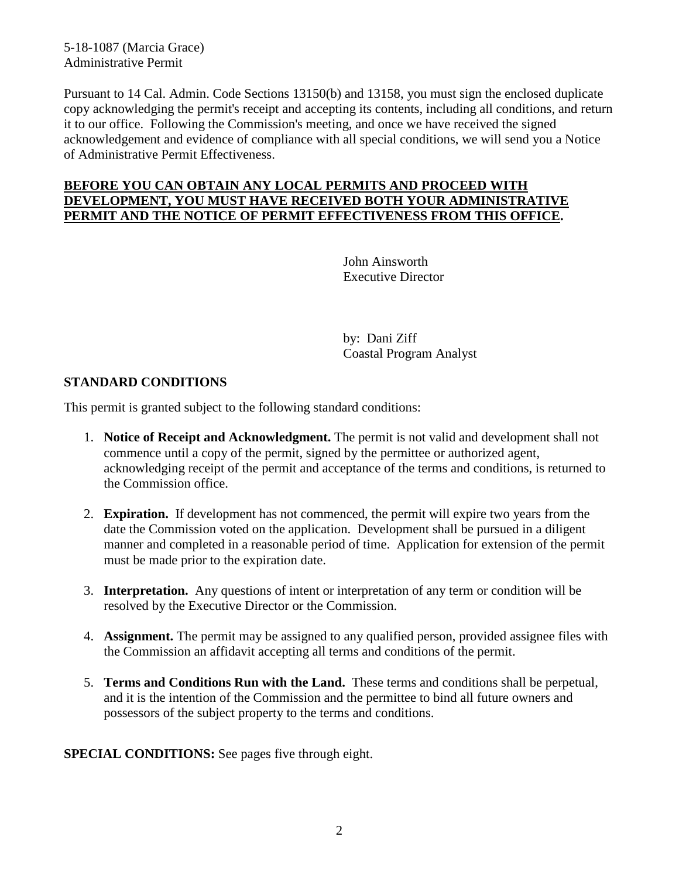5-18-1087 (Marcia Grace) Administrative Permit

Pursuant to 14 Cal. Admin. Code Sections 13150(b) and 13158, you must sign the enclosed duplicate copy acknowledging the permit's receipt and accepting its contents, including all conditions, and return it to our office. Following the Commission's meeting, and once we have received the signed acknowledgement and evidence of compliance with all special conditions, we will send you a Notice of Administrative Permit Effectiveness.

#### **BEFORE YOU CAN OBTAIN ANY LOCAL PERMITS AND PROCEED WITH DEVELOPMENT, YOU MUST HAVE RECEIVED BOTH YOUR ADMINISTRATIVE PERMIT AND THE NOTICE OF PERMIT EFFECTIVENESS FROM THIS OFFICE.**

John Ainsworth Executive Director

by: Dani Ziff Coastal Program Analyst

#### **STANDARD CONDITIONS**

This permit is granted subject to the following standard conditions:

- 1. **Notice of Receipt and Acknowledgment.** The permit is not valid and development shall not commence until a copy of the permit, signed by the permittee or authorized agent, acknowledging receipt of the permit and acceptance of the terms and conditions, is returned to the Commission office.
- 2. **Expiration.** If development has not commenced, the permit will expire two years from the date the Commission voted on the application. Development shall be pursued in a diligent manner and completed in a reasonable period of time. Application for extension of the permit must be made prior to the expiration date.
- 3. **Interpretation.** Any questions of intent or interpretation of any term or condition will be resolved by the Executive Director or the Commission.
- 4. **Assignment.** The permit may be assigned to any qualified person, provided assignee files with the Commission an affidavit accepting all terms and conditions of the permit.
- 5. **Terms and Conditions Run with the Land.** These terms and conditions shall be perpetual, and it is the intention of the Commission and the permittee to bind all future owners and possessors of the subject property to the terms and conditions.

**SPECIAL CONDITIONS:** See pages five through eight.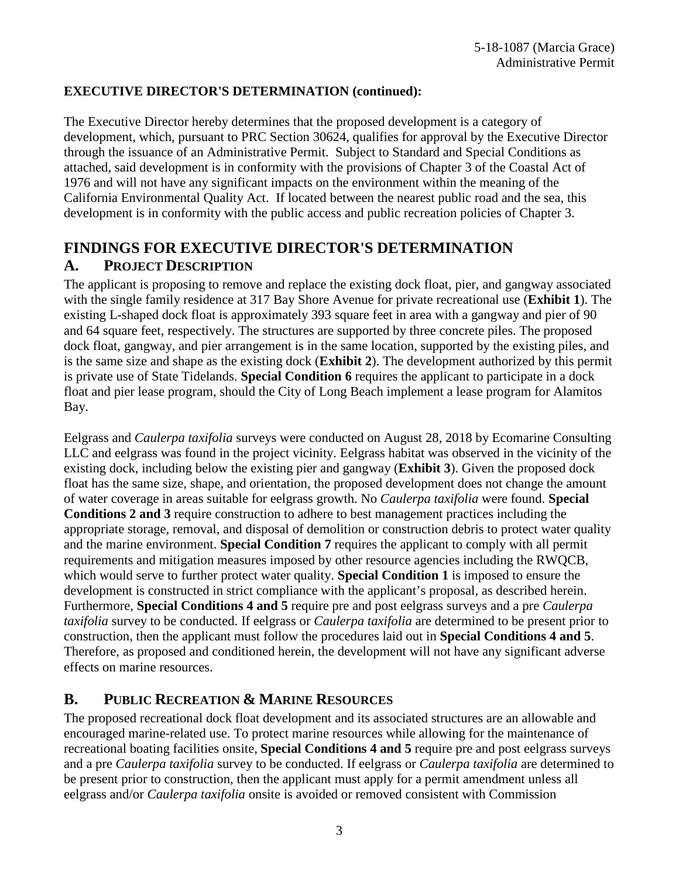### **EXECUTIVE DIRECTOR'S DETERMINATION (continued):**

The Executive Director hereby determines that the proposed development is a category of development, which, pursuant to PRC Section 30624, qualifies for approval by the Executive Director through the issuance of an Administrative Permit. Subject to Standard and Special Conditions as attached, said development is in conformity with the provisions of Chapter 3 of the Coastal Act of 1976 and will not have any significant impacts on the environment within the meaning of the California Environmental Quality Act. If located between the nearest public road and the sea, this development is in conformity with the public access and public recreation policies of Chapter 3.

# **FINDINGS FOR EXECUTIVE DIRECTOR'S DETERMINATION A. PROJECT DESCRIPTION**

The applicant is proposing to remove and replace the existing dock float, pier, and gangway associated with the single family residence at 317 Bay Shore Avenue for private recreational use (**[Exhibit 1](https://documents.coastal.ca.gov/reports/2019/3/W7b/W7b-3-2019-exhibits.pdfhttps:/documents.coastal.ca.gov/reports/2018/12/W7a/W7a-12-2018-exhibits.pdf)**). The existing L-shaped dock float is approximately 393 square feet in area with a gangway and pier of 90 and 64 square feet, respectively. The structures are supported by three concrete piles. The proposed dock float, gangway, and pier arrangement is in the same location, supported by the existing piles, and is the same size and shape as the existing dock (**[Exhibit 2](https://documents.coastal.ca.gov/reports/2019/3/W7b/W7b-3-2019-exhibits.pdfhttps:/documents.coastal.ca.gov/reports/2018/12/W7a/W7a-12-2018-exhibits.pdf)**). The development authorized by this permit is private use of State Tidelands. **Special Condition 6** requires the applicant to participate in a dock float and pier lease program, should the City of Long Beach implement a lease program for Alamitos Bay.

Eelgrass and *Caulerpa taxifolia* surveys were conducted on August 28, 2018 by Ecomarine Consulting LLC and eelgrass was found in the project vicinity. Eelgrass habitat was observed in the vicinity of the existing dock, including below the existing pier and gangway (**[Exhibit 3](https://documents.coastal.ca.gov/reports/2019/3/W7b/W7b-3-2019-exhibits.pdfhttps:/documents.coastal.ca.gov/reports/2018/12/W7a/W7a-12-2018-exhibits.pdf)**). Given the proposed dock float has the same size, shape, and orientation, the proposed development does not change the amount of water coverage in areas suitable for eelgrass growth. No *Caulerpa taxifolia* were found. **Special Conditions 2 and 3** require construction to adhere to best management practices including the appropriate storage, removal, and disposal of demolition or construction debris to protect water quality and the marine environment. **Special Condition 7** requires the applicant to comply with all permit requirements and mitigation measures imposed by other resource agencies including the RWQCB, which would serve to further protect water quality. **Special Condition 1** is imposed to ensure the development is constructed in strict compliance with the applicant's proposal, as described herein. Furthermore, **Special Conditions 4 and 5** require pre and post eelgrass surveys and a pre *Caulerpa taxifolia* survey to be conducted. If eelgrass or *Caulerpa taxifolia* are determined to be present prior to construction, then the applicant must follow the procedures laid out in **Special Conditions 4 and 5**. Therefore, as proposed and conditioned herein, the development will not have any significant adverse effects on marine resources.

### **B. PUBLIC RECREATION & MARINE RESOURCES**

The proposed recreational dock float development and its associated structures are an allowable and encouraged marine-related use. To protect marine resources while allowing for the maintenance of recreational boating facilities onsite, **Special Conditions 4 and 5** require pre and post eelgrass surveys and a pre *Caulerpa taxifolia* survey to be conducted. If eelgrass or *Caulerpa taxifolia* are determined to be present prior to construction, then the applicant must apply for a permit amendment unless all eelgrass and/or *Caulerpa taxifolia* onsite is avoided or removed consistent with Commission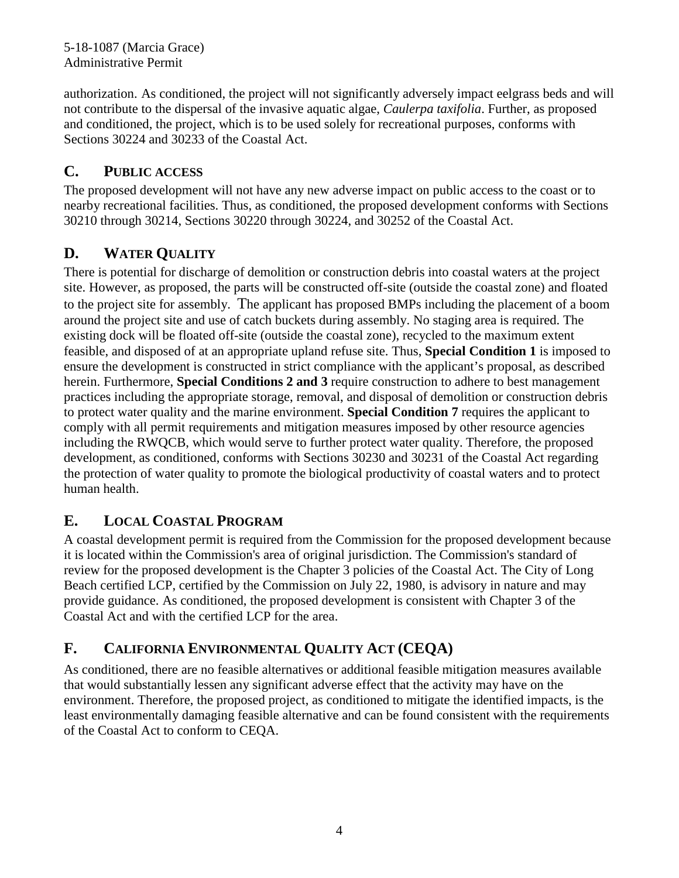5-18-1087 (Marcia Grace) Administrative Permit

authorization. As conditioned, the project will not significantly adversely impact eelgrass beds and will not contribute to the dispersal of the invasive aquatic algae, *Caulerpa taxifolia*. Further, as proposed and conditioned, the project, which is to be used solely for recreational purposes, conforms with Sections 30224 and 30233 of the Coastal Act.

### **C. PUBLIC ACCESS**

The proposed development will not have any new adverse impact on public access to the coast or to nearby recreational facilities. Thus, as conditioned, the proposed development conforms with Sections 30210 through 30214, Sections 30220 through 30224, and 30252 of the Coastal Act.

# **D. WATER QUALITY**

There is potential for discharge of demolition or construction debris into coastal waters at the project site. However, as proposed, the parts will be constructed off-site (outside the coastal zone) and floated to the project site for assembly. The applicant has proposed BMPs including the placement of a boom around the project site and use of catch buckets during assembly. No staging area is required. The existing dock will be floated off-site (outside the coastal zone), recycled to the maximum extent feasible, and disposed of at an appropriate upland refuse site. Thus, **Special Condition 1** is imposed to ensure the development is constructed in strict compliance with the applicant's proposal, as described herein. Furthermore, **Special Conditions 2 and 3** require construction to adhere to best management practices including the appropriate storage, removal, and disposal of demolition or construction debris to protect water quality and the marine environment. **Special Condition 7** requires the applicant to comply with all permit requirements and mitigation measures imposed by other resource agencies including the RWQCB, which would serve to further protect water quality. Therefore, the proposed development, as conditioned, conforms with Sections 30230 and 30231 of the Coastal Act regarding the protection of water quality to promote the biological productivity of coastal waters and to protect human health.

# **E. LOCAL COASTAL PROGRAM**

A coastal development permit is required from the Commission for the proposed development because it is located within the Commission's area of original jurisdiction. The Commission's standard of review for the proposed development is the Chapter 3 policies of the Coastal Act. The City of Long Beach certified LCP, certified by the Commission on July 22, 1980, is advisory in nature and may provide guidance. As conditioned, the proposed development is consistent with Chapter 3 of the Coastal Act and with the certified LCP for the area.

# **F. CALIFORNIA ENVIRONMENTAL QUALITY ACT (CEQA)**

As conditioned, there are no feasible alternatives or additional feasible mitigation measures available that would substantially lessen any significant adverse effect that the activity may have on the environment. Therefore, the proposed project, as conditioned to mitigate the identified impacts, is the least environmentally damaging feasible alternative and can be found consistent with the requirements of the Coastal Act to conform to CEQA.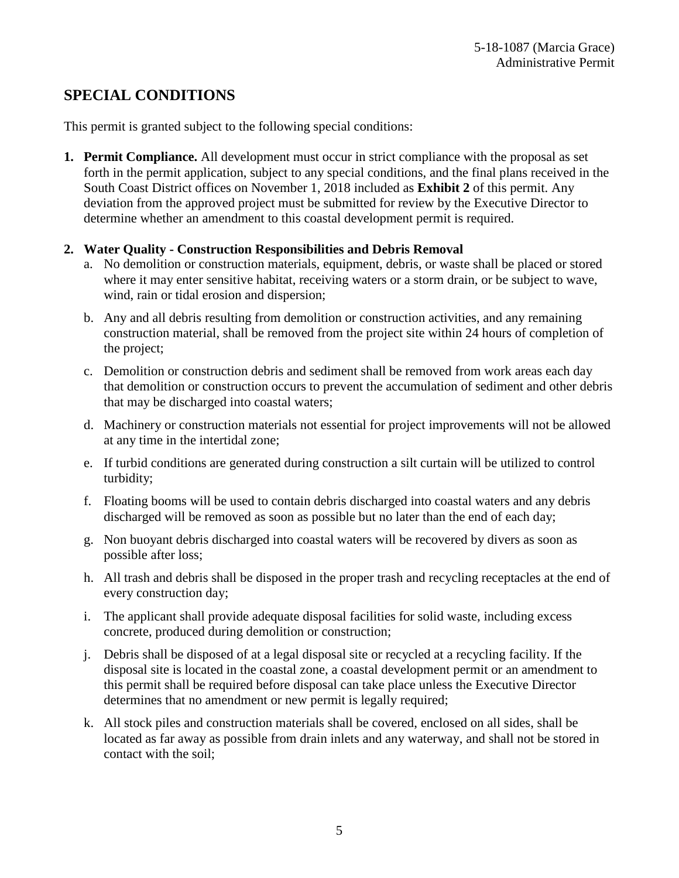# **SPECIAL CONDITIONS**

This permit is granted subject to the following special conditions:

**1. Permit Compliance.** All development must occur in strict compliance with the proposal as set forth in the permit application, subject to any special conditions, and the final plans received in the South Coast District offices on November 1, 2018 included as **[Exhibit 2](https://documents.coastal.ca.gov/reports/2019/3/W7b/W7b-3-2019-exhibits.pdfhttps:/documents.coastal.ca.gov/reports/2018/12/W7a/W7a-12-2018-exhibits.pdf)** of this permit. Any deviation from the approved project must be submitted for review by the Executive Director to determine whether an amendment to this coastal development permit is required.

#### **2. Water Quality - Construction Responsibilities and Debris Removal**

- a. No demolition or construction materials, equipment, debris, or waste shall be placed or stored where it may enter sensitive habitat, receiving waters or a storm drain, or be subject to wave, wind, rain or tidal erosion and dispersion;
- b. Any and all debris resulting from demolition or construction activities, and any remaining construction material, shall be removed from the project site within 24 hours of completion of the project;
- c. Demolition or construction debris and sediment shall be removed from work areas each day that demolition or construction occurs to prevent the accumulation of sediment and other debris that may be discharged into coastal waters;
- d. Machinery or construction materials not essential for project improvements will not be allowed at any time in the intertidal zone;
- e. If turbid conditions are generated during construction a silt curtain will be utilized to control turbidity;
- f. Floating booms will be used to contain debris discharged into coastal waters and any debris discharged will be removed as soon as possible but no later than the end of each day;
- g. Non buoyant debris discharged into coastal waters will be recovered by divers as soon as possible after loss;
- h. All trash and debris shall be disposed in the proper trash and recycling receptacles at the end of every construction day;
- i. The applicant shall provide adequate disposal facilities for solid waste, including excess concrete, produced during demolition or construction;
- j. Debris shall be disposed of at a legal disposal site or recycled at a recycling facility. If the disposal site is located in the coastal zone, a coastal development permit or an amendment to this permit shall be required before disposal can take place unless the Executive Director determines that no amendment or new permit is legally required;
- k. All stock piles and construction materials shall be covered, enclosed on all sides, shall be located as far away as possible from drain inlets and any waterway, and shall not be stored in contact with the soil;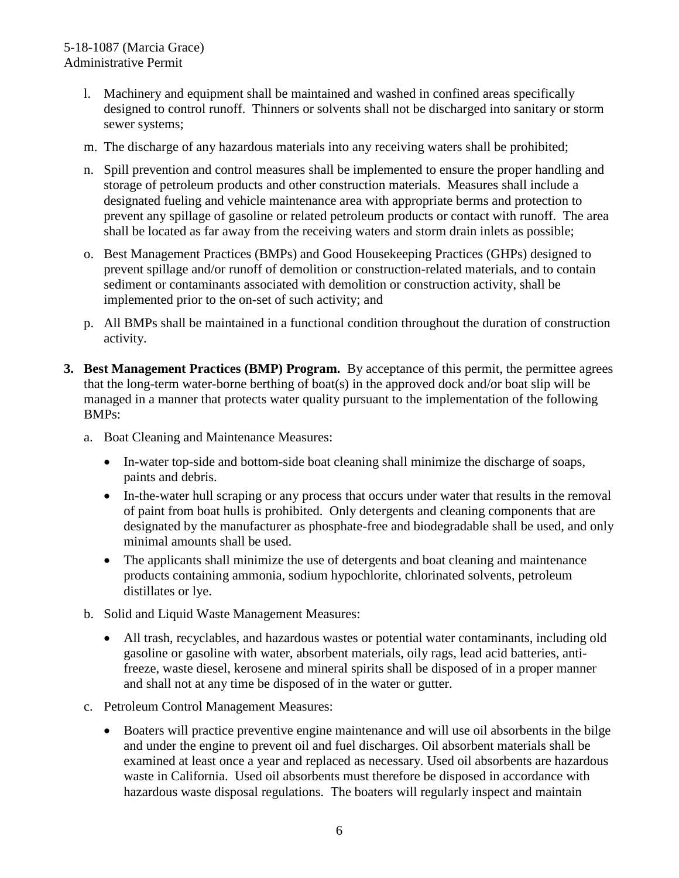#### 5-18-1087 (Marcia Grace) Administrative Permit

- l. Machinery and equipment shall be maintained and washed in confined areas specifically designed to control runoff. Thinners or solvents shall not be discharged into sanitary or storm sewer systems;
- m. The discharge of any hazardous materials into any receiving waters shall be prohibited;
- n. Spill prevention and control measures shall be implemented to ensure the proper handling and storage of petroleum products and other construction materials. Measures shall include a designated fueling and vehicle maintenance area with appropriate berms and protection to prevent any spillage of gasoline or related petroleum products or contact with runoff. The area shall be located as far away from the receiving waters and storm drain inlets as possible;
- o. Best Management Practices (BMPs) and Good Housekeeping Practices (GHPs) designed to prevent spillage and/or runoff of demolition or construction-related materials, and to contain sediment or contaminants associated with demolition or construction activity, shall be implemented prior to the on-set of such activity; and
- p. All BMPs shall be maintained in a functional condition throughout the duration of construction activity.
- **3. Best Management Practices (BMP) Program.** By acceptance of this permit, the permittee agrees that the long-term water-borne berthing of boat(s) in the approved dock and/or boat slip will be managed in a manner that protects water quality pursuant to the implementation of the following BMPs:
	- a. Boat Cleaning and Maintenance Measures:
		- In-water top-side and bottom-side boat cleaning shall minimize the discharge of soaps, paints and debris.
		- In-the-water hull scraping or any process that occurs under water that results in the removal of paint from boat hulls is prohibited. Only detergents and cleaning components that are designated by the manufacturer as phosphate-free and biodegradable shall be used, and only minimal amounts shall be used.
		- The applicants shall minimize the use of detergents and boat cleaning and maintenance products containing ammonia, sodium hypochlorite, chlorinated solvents, petroleum distillates or lye.
	- b. Solid and Liquid Waste Management Measures:
		- All trash, recyclables, and hazardous wastes or potential water contaminants, including old gasoline or gasoline with water, absorbent materials, oily rags, lead acid batteries, antifreeze, waste diesel, kerosene and mineral spirits shall be disposed of in a proper manner and shall not at any time be disposed of in the water or gutter.
	- c. Petroleum Control Management Measures:
		- Boaters will practice preventive engine maintenance and will use oil absorbents in the bilge and under the engine to prevent oil and fuel discharges. Oil absorbent materials shall be examined at least once a year and replaced as necessary. Used oil absorbents are hazardous waste in California. Used oil absorbents must therefore be disposed in accordance with hazardous waste disposal regulations. The boaters will regularly inspect and maintain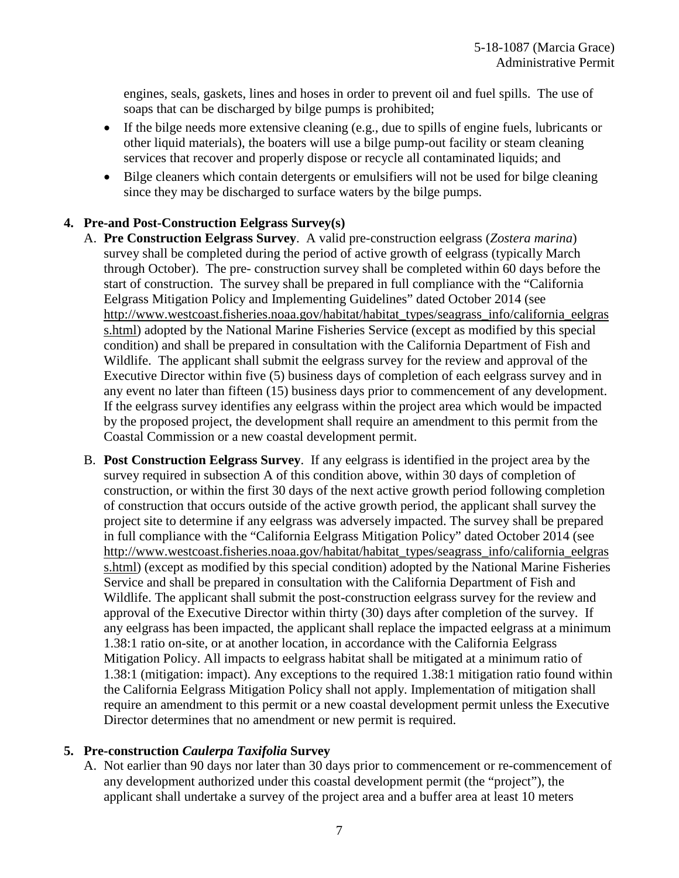engines, seals, gaskets, lines and hoses in order to prevent oil and fuel spills. The use of soaps that can be discharged by bilge pumps is prohibited;

- If the bilge needs more extensive cleaning (e.g., due to spills of engine fuels, lubricants or other liquid materials), the boaters will use a bilge pump-out facility or steam cleaning services that recover and properly dispose or recycle all contaminated liquids; and
- Bilge cleaners which contain detergents or emulsifiers will not be used for bilge cleaning since they may be discharged to surface waters by the bilge pumps.

#### **4. Pre-and Post-Construction Eelgrass Survey(s)**

- A. **Pre Construction Eelgrass Survey**. A valid pre-construction eelgrass (*Zostera marina*) survey shall be completed during the period of active growth of eelgrass (typically March through October). The pre- construction survey shall be completed within 60 days before the start of construction. The survey shall be prepared in full compliance with the "California Eelgrass Mitigation Policy and Implementing Guidelines" dated October 2014 (see [http://www.westcoast.fisheries.noaa.gov/habitat/habitat\\_types/seagrass\\_info/california\\_eelgras](http://www.westcoast.fisheries.noaa.gov/habitat/habitat_types/seagrass_info/california_eelgrass.html) [s.html\)](http://www.westcoast.fisheries.noaa.gov/habitat/habitat_types/seagrass_info/california_eelgrass.html) adopted by the National Marine Fisheries Service (except as modified by this special condition) and shall be prepared in consultation with the California Department of Fish and Wildlife. The applicant shall submit the eelgrass survey for the review and approval of the Executive Director within five (5) business days of completion of each eelgrass survey and in any event no later than fifteen (15) business days prior to commencement of any development. If the eelgrass survey identifies any eelgrass within the project area which would be impacted by the proposed project, the development shall require an amendment to this permit from the Coastal Commission or a new coastal development permit.
- B. **Post Construction Eelgrass Survey**. If any eelgrass is identified in the project area by the survey required in subsection A of this condition above, within 30 days of completion of construction, or within the first 30 days of the next active growth period following completion of construction that occurs outside of the active growth period, the applicant shall survey the project site to determine if any eelgrass was adversely impacted. The survey shall be prepared in full compliance with the "California Eelgrass Mitigation Policy" dated October 2014 (see [http://www.westcoast.fisheries.noaa.gov/habitat/habitat\\_types/seagrass\\_info/california\\_eelgras](http://www.westcoast.fisheries.noaa.gov/habitat/habitat_types/seagrass_info/california_eelgrass.html) [s.html\)](http://www.westcoast.fisheries.noaa.gov/habitat/habitat_types/seagrass_info/california_eelgrass.html) (except as modified by this special condition) adopted by the National Marine Fisheries Service and shall be prepared in consultation with the California Department of Fish and Wildlife. The applicant shall submit the post-construction eelgrass survey for the review and approval of the Executive Director within thirty (30) days after completion of the survey. If any eelgrass has been impacted, the applicant shall replace the impacted eelgrass at a minimum 1.38:1 ratio on-site, or at another location, in accordance with the California Eelgrass Mitigation Policy. All impacts to eelgrass habitat shall be mitigated at a minimum ratio of 1.38:1 (mitigation: impact). Any exceptions to the required 1.38:1 mitigation ratio found within the California Eelgrass Mitigation Policy shall not apply. Implementation of mitigation shall require an amendment to this permit or a new coastal development permit unless the Executive Director determines that no amendment or new permit is required.

#### **5. Pre-construction** *Caulerpa Taxifolia* **Survey**

A. Not earlier than 90 days nor later than 30 days prior to commencement or re-commencement of any development authorized under this coastal development permit (the "project"), the applicant shall undertake a survey of the project area and a buffer area at least 10 meters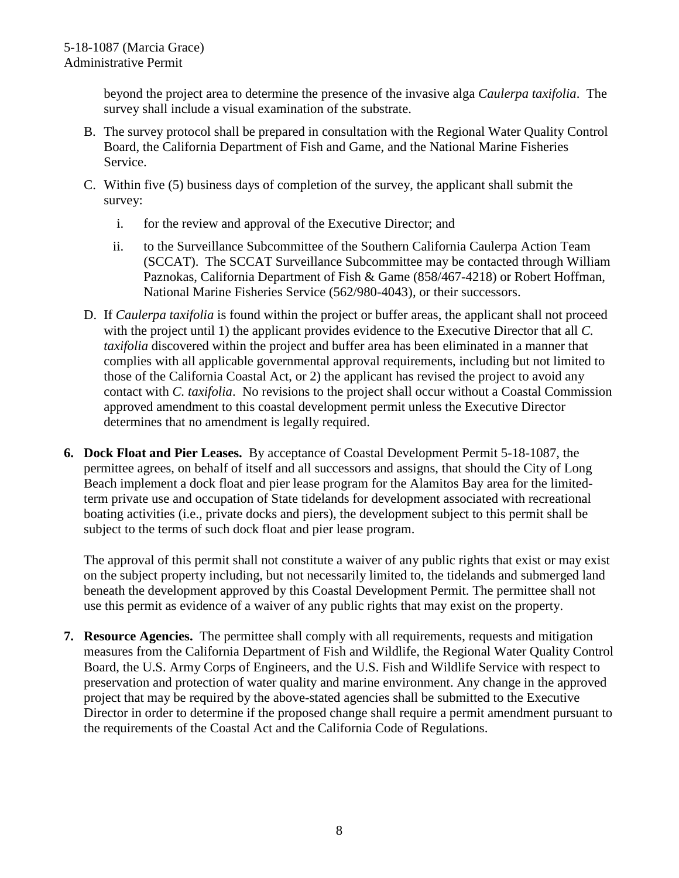beyond the project area to determine the presence of the invasive alga *Caulerpa taxifolia*. The survey shall include a visual examination of the substrate.

- B. The survey protocol shall be prepared in consultation with the Regional Water Quality Control Board, the California Department of Fish and Game, and the National Marine Fisheries Service.
- C. Within five (5) business days of completion of the survey, the applicant shall submit the survey:
	- i. for the review and approval of the Executive Director; and
	- ii. to the Surveillance Subcommittee of the Southern California Caulerpa Action Team (SCCAT). The SCCAT Surveillance Subcommittee may be contacted through William Paznokas, California Department of Fish & Game (858/467-4218) or Robert Hoffman, National Marine Fisheries Service (562/980-4043), or their successors.
- D. If *Caulerpa taxifolia* is found within the project or buffer areas, the applicant shall not proceed with the project until 1) the applicant provides evidence to the Executive Director that all *C. taxifolia* discovered within the project and buffer area has been eliminated in a manner that complies with all applicable governmental approval requirements, including but not limited to those of the California Coastal Act, or 2) the applicant has revised the project to avoid any contact with *C. taxifolia*. No revisions to the project shall occur without a Coastal Commission approved amendment to this coastal development permit unless the Executive Director determines that no amendment is legally required.
- **6. Dock Float and Pier Leases.** By acceptance of Coastal Development Permit 5-18-1087, the permittee agrees, on behalf of itself and all successors and assigns, that should the City of Long Beach implement a dock float and pier lease program for the Alamitos Bay area for the limitedterm private use and occupation of State tidelands for development associated with recreational boating activities (i.e., private docks and piers), the development subject to this permit shall be subject to the terms of such dock float and pier lease program.

The approval of this permit shall not constitute a waiver of any public rights that exist or may exist on the subject property including, but not necessarily limited to, the tidelands and submerged land beneath the development approved by this Coastal Development Permit. The permittee shall not use this permit as evidence of a waiver of any public rights that may exist on the property.

**7. Resource Agencies.** The permittee shall comply with all requirements, requests and mitigation measures from the California Department of Fish and Wildlife, the Regional Water Quality Control Board, the U.S. Army Corps of Engineers, and the U.S. Fish and Wildlife Service with respect to preservation and protection of water quality and marine environment. Any change in the approved project that may be required by the above-stated agencies shall be submitted to the Executive Director in order to determine if the proposed change shall require a permit amendment pursuant to the requirements of the Coastal Act and the California Code of Regulations.